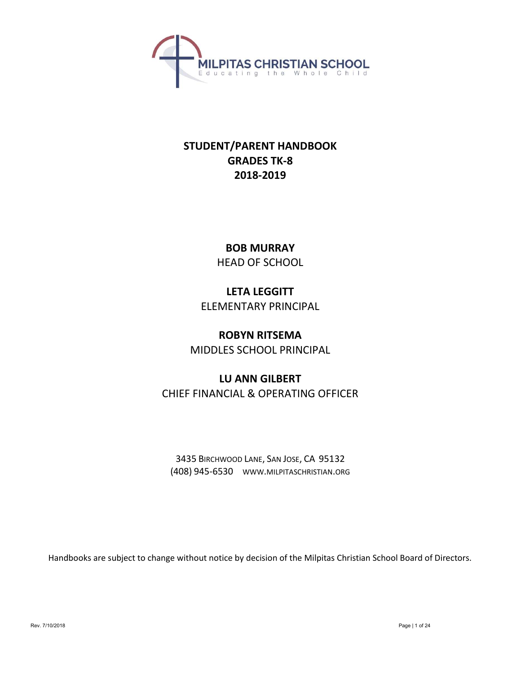

# STUDENT/PARENT HANDBOOK GRADES TK-8 2018-2019

BOB MURRAY HEAD OF SCHOOL

LETA LEGGITT ELEMENTARY PRINCIPAL

ROBYN RITSEMA MIDDLES SCHOOL PRINCIPAL

# LU ANN GILBERT CHIEF FINANCIAL & OPERATING OFFICER

3435 BIRCHWOOD LANE, SAN JOSE, CA 95132 (408) 945-6530 WWW.MILPITASCHRISTIAN.ORG

Handbooks are subject to change without notice by decision of the Milpitas Christian School Board of Directors.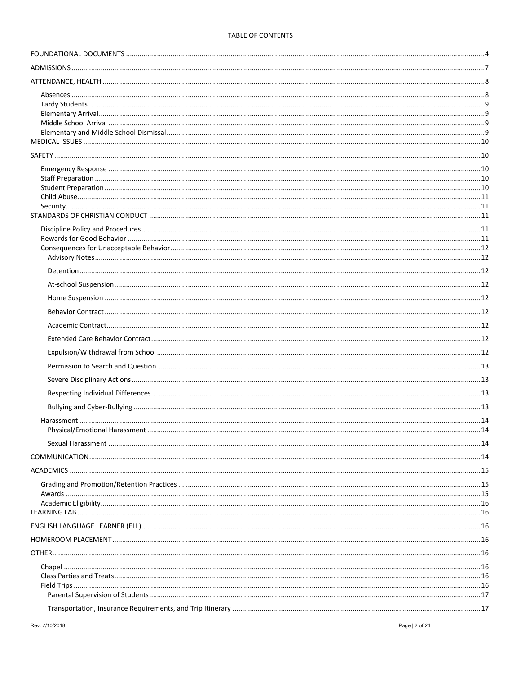## TABLE OF CONTENTS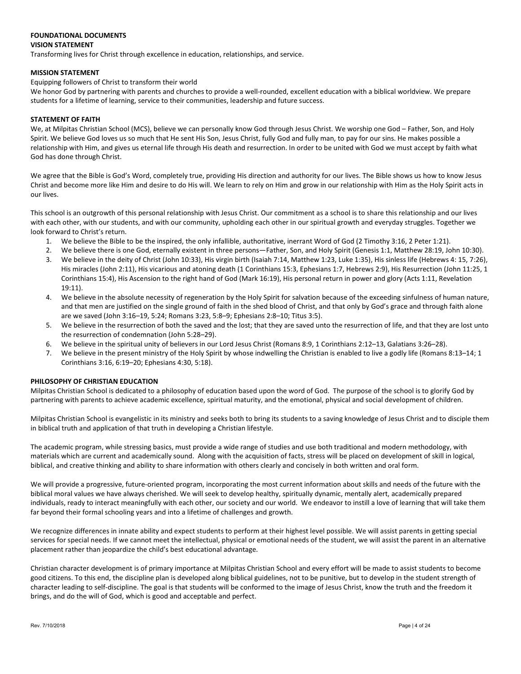#### FOUNDATIONAL DOCUMENTS VISION STATEMENT

Transforming lives for Christ through excellence in education, relationships, and service.

## MISSION STATEMENT

## Equipping followers of Christ to transform their world

We honor God by partnering with parents and churches to provide a well-rounded, excellent education with a biblical worldview. We prepare students for a lifetime of learning, service to their communities, leadership and future success.

## STATEMENT OF FAITH

We, at Milpitas Christian School (MCS), believe we can personally know God through Jesus Christ. We worship one God – Father, Son, and Holy Spirit. We believe God loves us so much that He sent His Son, Jesus Christ, fully God and fully man, to pay for our sins. He makes possible a relationship with Him, and gives us eternal life through His death and resurrection. In order to be united with God we must accept by faith what God has done through Christ.

We agree that the Bible is God's Word, completely true, providing His direction and authority for our lives. The Bible shows us how to know Jesus Christ and become more like Him and desire to do His will. We learn to rely on Him and grow in our relationship with Him as the Holy Spirit acts in our lives.

This school is an outgrowth of this personal relationship with Jesus Christ. Our commitment as a school is to share this relationship and our lives with each other, with our students, and with our community, upholding each other in our spiritual growth and everyday struggles. Together we look forward to Christ's return.

- 1. We believe the Bible to be the inspired, the only infallible, authoritative, inerrant Word of God (2 Timothy 3:16, 2 Peter 1:21).
- 2. We believe there is one God, eternally existent in three persons—Father, Son, and Holy Spirit (Genesis 1:1, Matthew 28:19, John 10:30).
- 3. We believe in the deity of Christ (John 10:33), His virgin birth (Isaiah 7:14, Matthew 1:23, Luke 1:35), His sinless life (Hebrews 4: 15, 7:26), His miracles (John 2:11), His vicarious and atoning death (1 Corinthians 15:3, Ephesians 1:7, Hebrews 2:9), His Resurrection (John 11:25, 1 Corinthians 15:4), His Ascension to the right hand of God (Mark 16:19), His personal return in power and glory (Acts 1:11, Revelation 19:11).
- 4. We believe in the absolute necessity of regeneration by the Holy Spirit for salvation because of the exceeding sinfulness of human nature, and that men are justified on the single ground of faith in the shed blood of Christ, and that only by God's grace and through faith alone are we saved (John 3:16–19, 5:24; Romans 3:23, 5:8–9; Ephesians 2:8–10; Titus 3:5).
- 5. We believe in the resurrection of both the saved and the lost; that they are saved unto the resurrection of life, and that they are lost unto the resurrection of condemnation (John 5:28–29).
- 6. We believe in the spiritual unity of believers in our Lord Jesus Christ (Romans 8:9, 1 Corinthians 2:12–13, Galatians 3:26–28).
- 7. We believe in the present ministry of the Holy Spirit by whose indwelling the Christian is enabled to live a godly life (Romans 8:13–14; 1 Corinthians 3:16, 6:19–20; Ephesians 4:30, 5:18).

## PHILOSOPHY OF CHRISTIAN EDUCATION

Milpitas Christian School is dedicated to a philosophy of education based upon the word of God. The purpose of the school is to glorify God by partnering with parents to achieve academic excellence, spiritual maturity, and the emotional, physical and social development of children.

Milpitas Christian School is evangelistic in its ministry and seeks both to bring its students to a saving knowledge of Jesus Christ and to disciple them in biblical truth and application of that truth in developing a Christian lifestyle.

The academic program, while stressing basics, must provide a wide range of studies and use both traditional and modern methodology, with materials which are current and academically sound. Along with the acquisition of facts, stress will be placed on development of skill in logical, biblical, and creative thinking and ability to share information with others clearly and concisely in both written and oral form.

We will provide a progressive, future-oriented program, incorporating the most current information about skills and needs of the future with the biblical moral values we have always cherished. We will seek to develop healthy, spiritually dynamic, mentally alert, academically prepared individuals, ready to interact meaningfully with each other, our society and our world. We endeavor to instill a love of learning that will take them far beyond their formal schooling years and into a lifetime of challenges and growth.

We recognize differences in innate ability and expect students to perform at their highest level possible. We will assist parents in getting special services for special needs. If we cannot meet the intellectual, physical or emotional needs of the student, we will assist the parent in an alternative placement rather than jeopardize the child's best educational advantage.

Christian character development is of primary importance at Milpitas Christian School and every effort will be made to assist students to become good citizens. To this end, the discipline plan is developed along biblical guidelines, not to be punitive, but to develop in the student strength of character leading to self-discipline. The goal is that students will be conformed to the image of Jesus Christ, know the truth and the freedom it brings, and do the will of God, which is good and acceptable and perfect.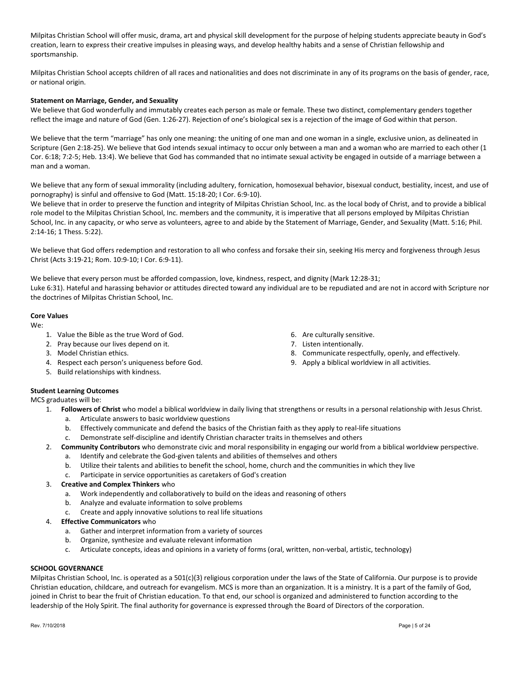Milpitas Christian School will offer music, drama, art and physical skill development for the purpose of helping students appreciate beauty in God's creation, learn to express their creative impulses in pleasing ways, and develop healthy habits and a sense of Christian fellowship and sportsmanship.

Milpitas Christian School accepts children of all races and nationalities and does not discriminate in any of its programs on the basis of gender, race, or national origin.

## Statement on Marriage, Gender, and Sexuality

We believe that God wonderfully and immutably creates each person as male or female. These two distinct, complementary genders together reflect the image and nature of God (Gen. 1:26-27). Rejection of one's biological sex is a rejection of the image of God within that person.

We believe that the term "marriage" has only one meaning: the uniting of one man and one woman in a single, exclusive union, as delineated in Scripture (Gen 2:18-25). We believe that God intends sexual intimacy to occur only between a man and a woman who are married to each other (1 Cor. 6:18; 7:2-5; Heb. 13:4). We believe that God has commanded that no intimate sexual activity be engaged in outside of a marriage between a man and a woman.

We believe that any form of sexual immorality (including adultery, fornication, homosexual behavior, bisexual conduct, bestiality, incest, and use of pornography) is sinful and offensive to God (Matt. 15:18-20; I Cor. 6:9-10).

We believe that in order to preserve the function and integrity of Milpitas Christian School, Inc. as the local body of Christ, and to provide a biblical role model to the Milpitas Christian School, Inc. members and the community, it is imperative that all persons employed by Milpitas Christian School, Inc. in any capacity, or who serve as volunteers, agree to and abide by the Statement of Marriage, Gender, and Sexuality (Matt. 5:16; Phil. 2:14-16; 1 Thess. 5:22).

We believe that God offers redemption and restoration to all who confess and forsake their sin, seeking His mercy and forgiveness through Jesus Christ (Acts 3:19-21; Rom. 10:9-10; I Cor. 6:9-11).

We believe that every person must be afforded compassion, love, kindness, respect, and dignity (Mark 12:28-31; Luke 6:31). Hateful and harassing behavior or attitudes directed toward any individual are to be repudiated and are not in accord with Scripture nor the doctrines of Milpitas Christian School, Inc.

## Core Values

We:

- 1. Value the Bible as the true Word of God.
- 2. Pray because our lives depend on it.
- 3. Model Christian ethics.
- 4. Respect each person's uniqueness before God.
- 5. Build relationships with kindness.
- 6. Are culturally sensitive.
- 7. Listen intentionally.
- 8. Communicate respectfully, openly, and effectively.
- 9. Apply a biblical worldview in all activities.

## Student Learning Outcomes

MCS graduates will be:

- 1. Followers of Christ who model a biblical worldview in daily living that strengthens or results in a personal relationship with Jesus Christ.
	- a. Articulate answers to basic worldview questions
	- b. Effectively communicate and defend the basics of the Christian faith as they apply to real-life situations
	- c. Demonstrate self-discipline and identify Christian character traits in themselves and others
- 2. Community Contributors who demonstrate civic and moral responsibility in engaging our world from a biblical worldview perspective.
	- a. Identify and celebrate the God-given talents and abilities of themselves and others
	- b. Utilize their talents and abilities to benefit the school, home, church and the communities in which they live
	- c. Participate in service opportunities as caretakers of God's creation
- 3. Creative and Complex Thinkers who
	- a. Work independently and collaboratively to build on the ideas and reasoning of others
	- b. Analyze and evaluate information to solve problems
	- c. Create and apply innovative solutions to real life situations
- 4. Effective Communicators who
	- a. Gather and interpret information from a variety of sources
	- b. Organize, synthesize and evaluate relevant information
	- c. Articulate concepts, ideas and opinions in a variety of forms (oral, written, non-verbal, artistic, technology)

## SCHOOL GOVERNANCE

Milpitas Christian School, Inc. is operated as a 501(c)(3) religious corporation under the laws of the State of California. Our purpose is to provide Christian education, childcare, and outreach for evangelism. MCS is more than an organization. It is a ministry. It is a part of the family of God, joined in Christ to bear the fruit of Christian education. To that end, our school is organized and administered to function according to the leadership of the Holy Spirit. The final authority for governance is expressed through the Board of Directors of the corporation.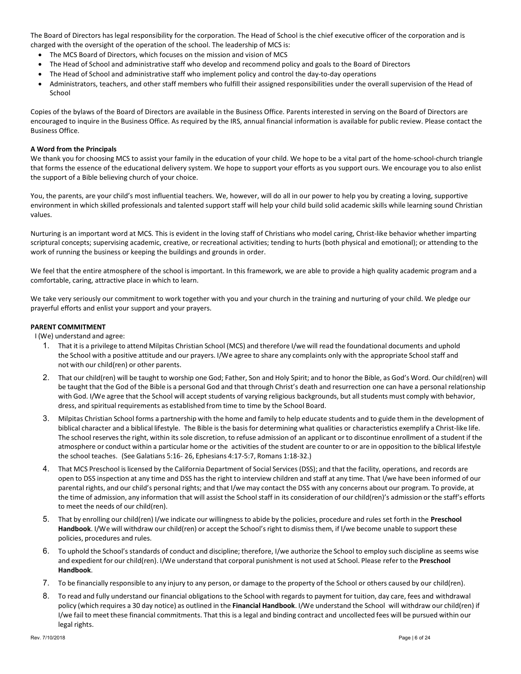The Board of Directors has legal responsibility for the corporation. The Head of School is the chief executive officer of the corporation and is charged with the oversight of the operation of the school. The leadership of MCS is:

- The MCS Board of Directors, which focuses on the mission and vision of MCS
- The Head of School and administrative staff who develop and recommend policy and goals to the Board of Directors
- The Head of School and administrative staff who implement policy and control the day-to-day operations
- Administrators, teachers, and other staff members who fulfill their assigned responsibilities under the overall supervision of the Head of School

Copies of the bylaws of the Board of Directors are available in the Business Office. Parents interested in serving on the Board of Directors are encouraged to inquire in the Business Office. As required by the IRS, annual financial information is available for public review. Please contact the Business Office.

#### A Word from the Principals

We thank you for choosing MCS to assist your family in the education of your child. We hope to be a vital part of the home-school-church triangle that forms the essence of the educational delivery system. We hope to support your efforts as you support ours. We encourage you to also enlist the support of a Bible believing church of your choice.

You, the parents, are your child's most influential teachers. We, however, will do all in our power to help you by creating a loving, supportive environment in which skilled professionals and talented support staff will help your child build solid academic skills while learning sound Christian values.

Nurturing is an important word at MCS. This is evident in the loving staff of Christians who model caring, Christ-like behavior whether imparting scriptural concepts; supervising academic, creative, or recreational activities; tending to hurts (both physical and emotional); or attending to the work of running the business or keeping the buildings and grounds in order.

We feel that the entire atmosphere of the school is important. In this framework, we are able to provide a high quality academic program and a comfortable, caring, attractive place in which to learn.

We take very seriously our commitment to work together with you and your church in the training and nurturing of your child. We pledge our prayerful efforts and enlist your support and your prayers.

## PARENT COMMITMENT

I (We) understand and agree:

- 1. That it is a privilege to attend Milpitas Christian School (MCS) and therefore I/we will read the foundational documents and uphold the School with a positive attitude and our prayers. I/We agree to share any complaints only with the appropriate School staff and not with our child(ren) or other parents.
- 2. That our child(ren) will be taught to worship one God; Father, Son and Holy Spirit; and to honor the Bible, as God's Word. Our child(ren) will be taught that the God of the Bible is a personal God and that through Christ's death and resurrection one can have a personal relationship with God. I/We agree that the School will accept students of varying religious backgrounds, but all students must comply with behavior, dress, and spiritual requirements as established from time to time by the School Board.
- 3. Milpitas Christian School forms a partnership with the home and family to help educate students and to guide them in the development of biblical character and a biblical lifestyle. The Bible is the basis for determining what qualities or characteristics exemplify a Christ-like life. The school reserves the right, within its sole discretion, to refuse admission of an applicant or to discontinue enrollment of a student if the atmosphere or conduct within a particular home or the activities of the student are counter to or are in opposition to the biblical lifestyle the school teaches. (See Galatians 5:16- 26, Ephesians 4:17-5:7, Romans 1:18-32.)
- 4. That MCS Preschool is licensed by the California Department of Social Services (DSS); and that the facility, operations, and records are open to DSS inspection at any time and DSS has the right to interview children and staff at any time. That I/we have been informed of our parental rights, and our child's personal rights; and that I/we may contact the DSS with any concerns about our program. To provide, at the time of admission, any information that will assist the School staff in its consideration of our child(ren)'s admission or the staff's efforts to meet the needs of our child(ren).
- 5. That by enrolling our child(ren) I/we indicate our willingness to abide by the policies, procedure and rules set forth in the Preschool Handbook. I/We will withdraw our child(ren) or accept the School's right to dismiss them, if I/we become unable to support these policies, procedures and rules.
- 6. To uphold the School's standards of conduct and discipline; therefore, I/we authorize the School to employ such discipline as seems wise and expedient for our child(ren). I/We understand that corporal punishment is not used at School. Please refer to the Preschool Handbook.
- 7. To be financially responsible to any injury to any person, or damage to the property of the School or others caused by our child(ren).
- 8. To read and fully understand our financial obligations to the School with regards to payment for tuition, day care, fees and withdrawal policy (which requires a 30 day notice) as outlined in the Financial Handbook. I/We understand the School will withdraw our child(ren) if I/we fail to meet these financial commitments. That this is a legal and binding contract and uncollected fees will be pursued within our legal rights.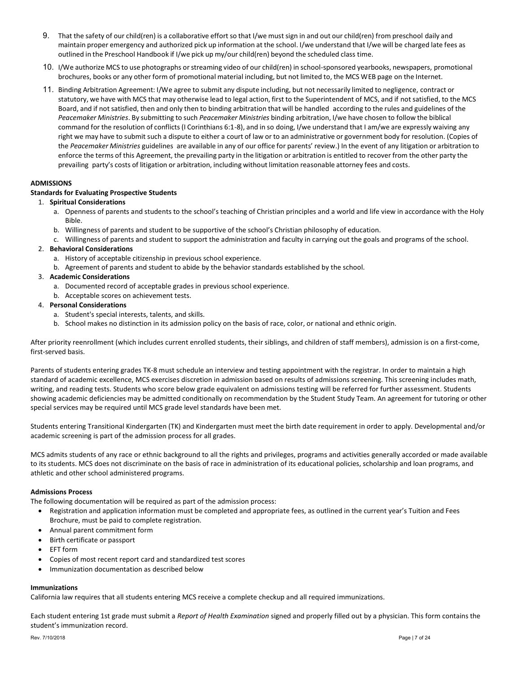- 9. That the safety of our child(ren) is a collaborative effort so that I/we must sign in and out our child(ren) from preschool daily and maintain proper emergency and authorized pick up information at the school. I/we understand that I/we will be charged late fees as outlined in the Preschool Handbook if I/we pick up my/our child(ren) beyond the scheduled class time.
- 10. I/We authorize MCS to use photographs or streaming video of our child(ren) in school-sponsored yearbooks, newspapers, promotional brochures, books or any other form of promotional material including, but not limited to, the MCS WEB page on the Internet.
- 11. Binding Arbitration Agreement: I/We agree to submit any dispute including, but not necessarily limited to negligence, contract or statutory, we have with MCS that may otherwise lead to legal action, first to the Superintendent of MCS, and if not satisfied, to the MCS Board, and if not satisfied, then and only then to binding arbitration that will be handled according to the rules and guidelines of the Peacemaker Ministries. By submitting to such Peacemaker Ministries binding arbitration, I/we have chosen to follow the biblical command for the resolution of conflicts (I Corinthians 6:1-8), and in so doing, I/we understand that I am/we are expressly waiving any right we may have to submit such a dispute to either a court of law or to an administrative or government body for resolution. (Copies of the Peacemaker Ministries guidelines are available in any of our office for parents' review.) In the event of any litigation or arbitration to enforce the terms of this Agreement, the prevailing party in the litigation or arbitration is entitled to recover from the other party the prevailing party's costs of litigation or arbitration, including without limitation reasonable attorney fees and costs.

## ADMISSIONS

## Standards for Evaluating Prospective Students

## 1. Spiritual Considerations

- a. Openness of parents and students to the school's teaching of Christian principles and a world and life view in accordance with the Holy Bible.
- b. Willingness of parents and student to be supportive of the school's Christian philosophy of education.
- c. Willingness of parents and student to support the administration and faculty in carrying out the goals and programs of the school.

## 2. Behavioral Considerations

- a. History of acceptable citizenship in previous school experience.
- b. Agreement of parents and student to abide by the behavior standards established by the school.

## 3. Academic Considerations

- a. Documented record of acceptable grades in previous school experience.
- b. Acceptable scores on achievement tests.

## 4. Personal Considerations

- a. Student's special interests, talents, and skills.
- b. School makes no distinction in its admission policy on the basis of race, color, or national and ethnic origin.

After priority reenrollment (which includes current enrolled students, their siblings, and children of staff members), admission is on a first-come, first-served basis.

Parents of students entering grades TK-8 must schedule an interview and testing appointment with the registrar. In order to maintain a high standard of academic excellence, MCS exercises discretion in admission based on results of admissions screening. This screening includes math, writing, and reading tests. Students who score below grade equivalent on admissions testing will be referred for further assessment. Students showing academic deficiencies may be admitted conditionally on recommendation by the Student Study Team. An agreement for tutoring or other special services may be required until MCS grade level standards have been met.

Students entering Transitional Kindergarten (TK) and Kindergarten must meet the birth date requirement in order to apply. Developmental and/or academic screening is part of the admission process for all grades.

MCS admits students of any race or ethnic background to all the rights and privileges, programs and activities generally accorded or made available to its students. MCS does not discriminate on the basis of race in administration of its educational policies, scholarship and loan programs, and athletic and other school administered programs.

## Admissions Process

The following documentation will be required as part of the admission process:

- Registration and application information must be completed and appropriate fees, as outlined in the current year's Tuition and Fees Brochure, must be paid to complete registration.
- Annual parent commitment form
- Birth certificate or passport
- EFT form
- Copies of most recent report card and standardized test scores
- Immunization documentation as described below

## Immunizations

California law requires that all students entering MCS receive a complete checkup and all required immunizations.

Each student entering 1st grade must submit a Report of Health Examination signed and properly filled out by a physician. This form contains the student's immunization record.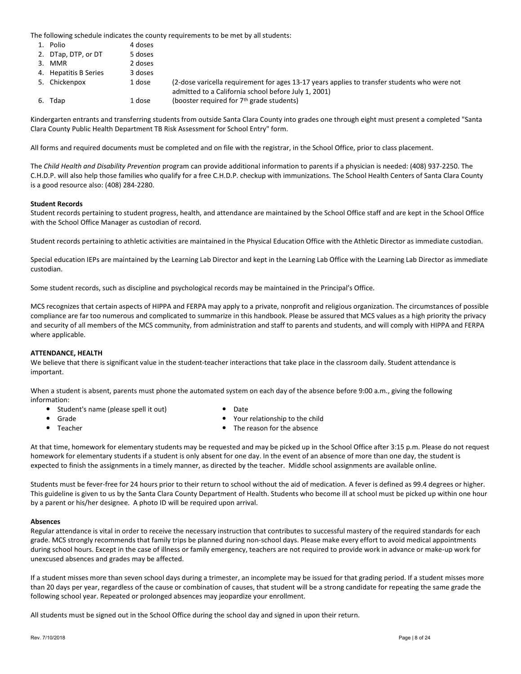The following schedule indicates the county requirements to be met by all students:

- 1. Polio 4 doses
- 2. DTap, DTP, or DT 5 doses 3. MMR 2 doses
- 4. Hepatitis B Series 3 doses
- 5. Chickenpox 1 dose (2-dose varicella requirement for ages 13-17 years applies to transfer students who were not admitted to a California school before July 1, 2001) 6. Tdap 1 dose (booster required for  $7<sup>th</sup>$  grade students)
- Kindergarten entrants and transferring students from outside Santa Clara County into grades one through eight must present a completed "Santa Clara County Public Health Department TB Risk Assessment for School Entry" form.

All forms and required documents must be completed and on file with the registrar, in the School Office, prior to class placement.

The Child Health and Disability Prevention program can provide additional information to parents if a physician is needed: (408) 937-2250. The C.H.D.P. will also help those families who qualify for a free C.H.D.P. checkup with immunizations. The School Health Centers of Santa Clara County is a good resource also: (408) 284-2280.

## Student Records

Student records pertaining to student progress, health, and attendance are maintained by the School Office staff and are kept in the School Office with the School Office Manager as custodian of record.

Student records pertaining to athletic activities are maintained in the Physical Education Office with the Athletic Director as immediate custodian.

Special education IEPs are maintained by the Learning Lab Director and kept in the Learning Lab Office with the Learning Lab Director as immediate custodian.

Some student records, such as discipline and psychological records may be maintained in the Principal's Office.

MCS recognizes that certain aspects of HIPPA and FERPA may apply to a private, nonprofit and religious organization. The circumstances of possible compliance are far too numerous and complicated to summarize in this handbook. Please be assured that MCS values as a high priority the privacy and security of all members of the MCS community, from administration and staff to parents and students, and will comply with HIPPA and FERPA where applicable.

## ATTENDANCE, HEALTH

We believe that there is significant value in the student-teacher interactions that take place in the classroom daily. Student attendance is important.

When a student is absent, parents must phone the automated system on each day of the absence before 9:00 a.m., giving the following information:

- Student's name (please spell it out) Date
- - Grade **Contract Contract Contract Contract Contract Contract Contract Contract Contract Contract Contract Contract Contract Contract Contract Contract Contract Contract Contract Contract Contract Contract Contract Contract**
- 
- Teacher **The reason for the absence The reason for the absence**

At that time, homework for elementary students may be requested and may be picked up in the School Office after 3:15 p.m. Please do not request homework for elementary students if a student is only absent for one day. In the event of an absence of more than one day, the student is expected to finish the assignments in a timely manner, as directed by the teacher. Middle school assignments are available online.

Students must be fever-free for 24 hours prior to their return to school without the aid of medication. A fever is defined as 99.4 degrees or higher. This guideline is given to us by the Santa Clara County Department of Health. Students who become ill at school must be picked up within one hour by a parent or his/her designee. A photo ID will be required upon arrival.

## Absences

Regular attendance is vital in order to receive the necessary instruction that contributes to successful mastery of the required standards for each grade. MCS strongly recommends that family trips be planned during non-school days. Please make every effort to avoid medical appointments during school hours. Except in the case of illness or family emergency, teachers are not required to provide work in advance or make-up work for unexcused absences and grades may be affected.

If a student misses more than seven school days during a trimester, an incomplete may be issued for that grading period. If a student misses more than 20 days per year, regardless of the cause or combination of causes, that student will be a strong candidate for repeating the same grade the following school year. Repeated or prolonged absences may jeopardize your enrollment.

All students must be signed out in the School Office during the school day and signed in upon their return.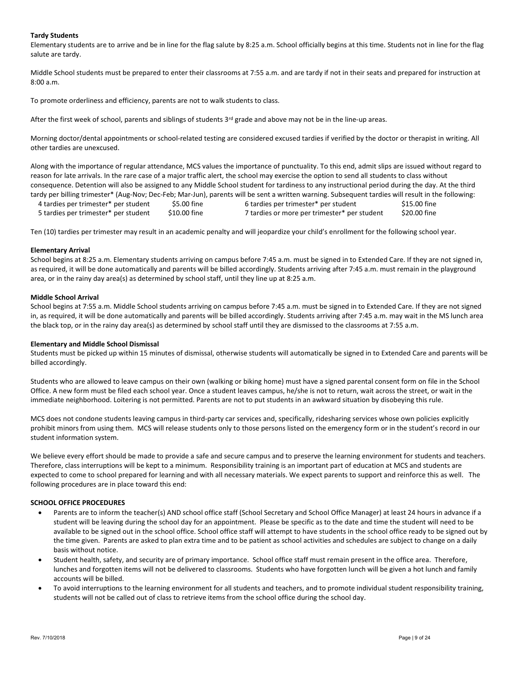## Tardy Students

Elementary students are to arrive and be in line for the flag salute by 8:25 a.m. School officially begins at this time. Students not in line for the flag salute are tardy.

Middle School students must be prepared to enter their classrooms at 7:55 a.m. and are tardy if not in their seats and prepared for instruction at 8:00 a.m.

To promote orderliness and efficiency, parents are not to walk students to class.

After the first week of school, parents and siblings of students  $3<sup>rd</sup>$  grade and above may not be in the line-up areas.

Morning doctor/dental appointments or school-related testing are considered excused tardies if verified by the doctor or therapist in writing. All other tardies are unexcused.

Along with the importance of regular attendance, MCS values the importance of punctuality. To this end, admit slips are issued without regard to reason for late arrivals. In the rare case of a major traffic alert, the school may exercise the option to send all students to class without consequence. Detention will also be assigned to any Middle School student for tardiness to any instructional period during the day. At the third tardy per billing trimester\* (Aug-Nov; Dec-Feb; Mar-Jun), parents will be sent a written warning. Subsequent tardies will result in the following:

4 tardies per trimester\* per student \$5.00 fine 6 tardies per trimester\* per student \$15.00 fine 5 tardies per trimester\* per student \$10.00 fine 7 tardies or more per trimester\* per student \$20.00 fine

Ten (10) tardies per trimester may result in an academic penalty and will jeopardize your child's enrollment for the following school year.

## Elementary Arrival

School begins at 8:25 a.m. Elementary students arriving on campus before 7:45 a.m. must be signed in to Extended Care. If they are not signed in, as required, it will be done automatically and parents will be billed accordingly. Students arriving after 7:45 a.m. must remain in the playground area, or in the rainy day area(s) as determined by school staff, until they line up at 8:25 a.m.

#### Middle School Arrival

School begins at 7:55 a.m. Middle School students arriving on campus before 7:45 a.m. must be signed in to Extended Care. If they are not signed in, as required, it will be done automatically and parents will be billed accordingly. Students arriving after 7:45 a.m. may wait in the MS lunch area the black top, or in the rainy day area(s) as determined by school staff until they are dismissed to the classrooms at 7:55 a.m.

## Elementary and Middle School Dismissal

Students must be picked up within 15 minutes of dismissal, otherwise students will automatically be signed in to Extended Care and parents will be billed accordingly.

Students who are allowed to leave campus on their own (walking or biking home) must have a signed parental consent form on file in the School Office. A new form must be filed each school year. Once a student leaves campus, he/she is not to return, wait across the street, or wait in the immediate neighborhood. Loitering is not permitted. Parents are not to put students in an awkward situation by disobeying this rule.

MCS does not condone students leaving campus in third-party car services and, specifically, ridesharing services whose own policies explicitly prohibit minors from using them. MCS will release students only to those persons listed on the emergency form or in the student's record in our student information system.

We believe every effort should be made to provide a safe and secure campus and to preserve the learning environment for students and teachers. Therefore, class interruptions will be kept to a minimum. Responsibility training is an important part of education at MCS and students are expected to come to school prepared for learning and with all necessary materials. We expect parents to support and reinforce this as well. The following procedures are in place toward this end:

## SCHOOL OFFICE PROCEDURES

- Parents are to inform the teacher(s) AND school office staff (School Secretary and School Office Manager) at least 24 hours in advance if a student will be leaving during the school day for an appointment. Please be specific as to the date and time the student will need to be available to be signed out in the school office. School office staff will attempt to have students in the school office ready to be signed out by the time given. Parents are asked to plan extra time and to be patient as school activities and schedules are subject to change on a daily basis without notice.
- Student health, safety, and security are of primary importance. School office staff must remain present in the office area. Therefore, lunches and forgotten items will not be delivered to classrooms. Students who have forgotten lunch will be given a hot lunch and family accounts will be billed.
- To avoid interruptions to the learning environment for all students and teachers, and to promote individual student responsibility training, students will not be called out of class to retrieve items from the school office during the school day.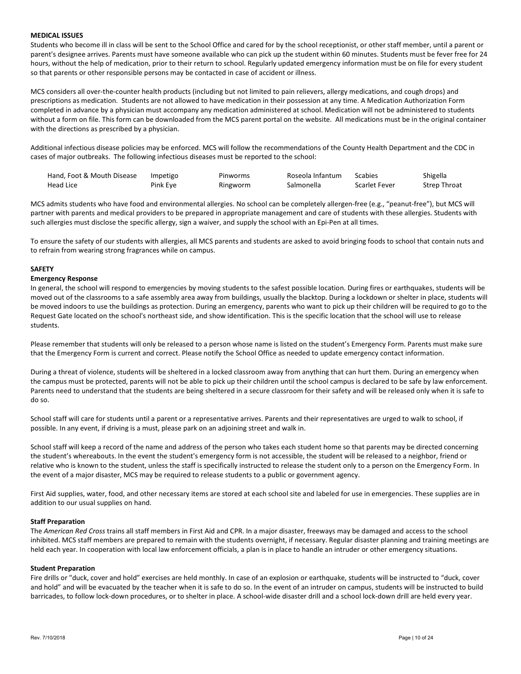#### MEDICAL ISSUES

Students who become ill in class will be sent to the School Office and cared for by the school receptionist, or other staff member, until a parent or parent's designee arrives. Parents must have someone available who can pick up the student within 60 minutes. Students must be fever free for 24 hours, without the help of medication, prior to their return to school. Regularly updated emergency information must be on file for every student so that parents or other responsible persons may be contacted in case of accident or illness.

MCS considers all over-the-counter health products (including but not limited to pain relievers, allergy medications, and cough drops) and prescriptions as medication. Students are not allowed to have medication in their possession at any time. A Medication Authorization Form completed in advance by a physician must accompany any medication administered at school. Medication will not be administered to students without a form on file. This form can be downloaded from the MCS parent portal on the website. All medications must be in the original container with the directions as prescribed by a physician.

Additional infectious disease policies may be enforced. MCS will follow the recommendations of the County Health Department and the CDC in cases of major outbreaks. The following infectious diseases must be reported to the school:

| Hand, Foot & Mouth Disease | Impetigo | Pinworms | Roseola Infantum | Scabies              | Shigella     |
|----------------------------|----------|----------|------------------|----------------------|--------------|
| Head Lice                  | Pink Eye | Ringworm | Salmonella       | <b>Scarlet Fever</b> | Strep Throat |

MCS admits students who have food and environmental allergies. No school can be completely allergen-free (e.g., "peanut-free"), but MCS will partner with parents and medical providers to be prepared in appropriate management and care of students with these allergies. Students with such allergies must disclose the specific allergy, sign a waiver, and supply the school with an Epi-Pen at all times.

To ensure the safety of our students with allergies, all MCS parents and students are asked to avoid bringing foods to school that contain nuts and to refrain from wearing strong fragrances while on campus.

## SAFETY

#### Emergency Response

In general, the school will respond to emergencies by moving students to the safest possible location. During fires or earthquakes, students will be moved out of the classrooms to a safe assembly area away from buildings, usually the blacktop. During a lockdown or shelter in place, students will be moved indoors to use the buildings as protection. During an emergency, parents who want to pick up their children will be required to go to the Request Gate located on the school's northeast side, and show identification. This is the specific location that the school will use to release students.

Please remember that students will only be released to a person whose name is listed on the student's Emergency Form. Parents must make sure that the Emergency Form is current and correct. Please notify the School Office as needed to update emergency contact information.

During a threat of violence, students will be sheltered in a locked classroom away from anything that can hurt them. During an emergency when the campus must be protected, parents will not be able to pick up their children until the school campus is declared to be safe by law enforcement. Parents need to understand that the students are being sheltered in a secure classroom for their safety and will be released only when it is safe to do so.

School staff will care for students until a parent or a representative arrives. Parents and their representatives are urged to walk to school, if possible. In any event, if driving is a must, please park on an adjoining street and walk in.

School staff will keep a record of the name and address of the person who takes each student home so that parents may be directed concerning the student's whereabouts. In the event the student's emergency form is not accessible, the student will be released to a neighbor, friend or relative who is known to the student, unless the staff is specifically instructed to release the student only to a person on the Emergency Form. In the event of a major disaster, MCS may be required to release students to a public or government agency.

First Aid supplies, water, food, and other necessary items are stored at each school site and labeled for use in emergencies. These supplies are in addition to our usual supplies on hand.

#### Staff Preparation

The American Red Cross trains all staff members in First Aid and CPR. In a major disaster, freeways may be damaged and access to the school inhibited. MCS staff members are prepared to remain with the students overnight, if necessary. Regular disaster planning and training meetings are held each year. In cooperation with local law enforcement officials, a plan is in place to handle an intruder or other emergency situations.

#### Student Preparation

Fire drills or "duck, cover and hold" exercises are held monthly. In case of an explosion or earthquake, students will be instructed to "duck, cover and hold" and will be evacuated by the teacher when it is safe to do so. In the event of an intruder on campus, students will be instructed to build barricades, to follow lock-down procedures, or to shelter in place. A school-wide disaster drill and a school lock-down drill are held every year.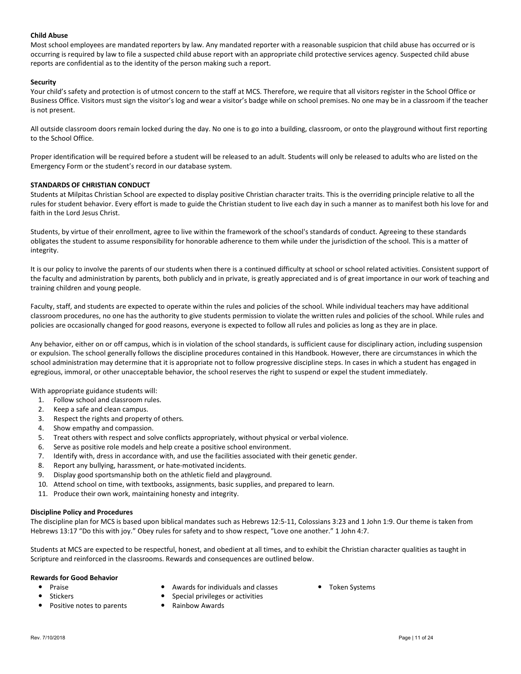## Child Abuse

Most school employees are mandated reporters by law. Any mandated reporter with a reasonable suspicion that child abuse has occurred or is occurring is required by law to file a suspected child abuse report with an appropriate child protective services agency. Suspected child abuse reports are confidential as to the identity of the person making such a report.

## **Security**

Your child's safety and protection is of utmost concern to the staff at MCS. Therefore, we require that all visitors register in the School Office or Business Office. Visitors must sign the visitor's log and wear a visitor's badge while on school premises. No one may be in a classroom if the teacher is not present.

All outside classroom doors remain locked during the day. No one is to go into a building, classroom, or onto the playground without first reporting to the School Office.

Proper identification will be required before a student will be released to an adult. Students will only be released to adults who are listed on the Emergency Form or the student's record in our database system.

## STANDARDS OF CHRISTIAN CONDUCT

Students at Milpitas Christian School are expected to display positive Christian character traits. This is the overriding principle relative to all the rules for student behavior. Every effort is made to guide the Christian student to live each day in such a manner as to manifest both his love for and faith in the Lord Jesus Christ.

Students, by virtue of their enrollment, agree to live within the framework of the school's standards of conduct. Agreeing to these standards obligates the student to assume responsibility for honorable adherence to them while under the jurisdiction of the school. This is a matter of integrity.

It is our policy to involve the parents of our students when there is a continued difficulty at school or school related activities. Consistent support of the faculty and administration by parents, both publicly and in private, is greatly appreciated and is of great importance in our work of teaching and training children and young people.

Faculty, staff, and students are expected to operate within the rules and policies of the school. While individual teachers may have additional classroom procedures, no one has the authority to give students permission to violate the written rules and policies of the school. While rules and policies are occasionally changed for good reasons, everyone is expected to follow all rules and policies as long as they are in place.

Any behavior, either on or off campus, which is in violation of the school standards, is sufficient cause for disciplinary action, including suspension or expulsion. The school generally follows the discipline procedures contained in this Handbook. However, there are circumstances in which the school administration may determine that it is appropriate not to follow progressive discipline steps. In cases in which a student has engaged in egregious, immoral, or other unacceptable behavior, the school reserves the right to suspend or expel the student immediately.

With appropriate guidance students will:

- 1. Follow school and classroom rules.
- 2. Keep a safe and clean campus.
- 3. Respect the rights and property of others.
- 4. Show empathy and compassion.
- 5. Treat others with respect and solve conflicts appropriately, without physical or verbal violence.
- 6. Serve as positive role models and help create a positive school environment.
- 7. Identify with, dress in accordance with, and use the facilities associated with their genetic gender.
- 8. Report any bullying, harassment, or hate-motivated incidents.
- 9. Display good sportsmanship both on the athletic field and playground.
- 10. Attend school on time, with textbooks, assignments, basic supplies, and prepared to learn.
- 11. Produce their own work, maintaining honesty and integrity.

## Discipline Policy and Procedures

The discipline plan for MCS is based upon biblical mandates such as Hebrews 12:5-11, Colossians 3:23 and 1 John 1:9. Our theme is taken from Hebrews 13:17 "Do this with joy." Obey rules for safety and to show respect, "Love one another." 1 John 4:7.

Students at MCS are expected to be respectful, honest, and obedient at all times, and to exhibit the Christian character qualities as taught in Scripture and reinforced in the classrooms. Rewards and consequences are outlined below.

## Rewards for Good Behavior

- 
- 
- Positive notes to parents **Calcular** Positive notes to parents
- Praise Collection Awards for individuals and classes Token Systems
	- Stickers **Subset of the Special privileges or activities Special privileges or activities** 
		-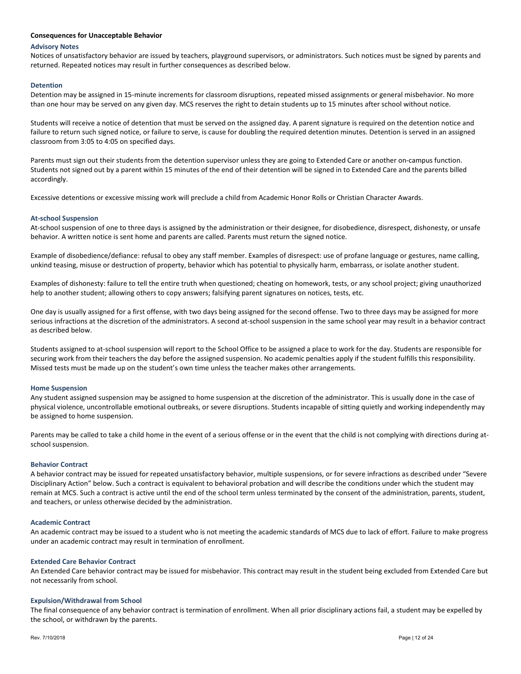#### Consequences for Unacceptable Behavior

#### Advisory Notes

Notices of unsatisfactory behavior are issued by teachers, playground supervisors, or administrators. Such notices must be signed by parents and returned. Repeated notices may result in further consequences as described below.

### Detention

Detention may be assigned in 15-minute increments for classroom disruptions, repeated missed assignments or general misbehavior. No more than one hour may be served on any given day. MCS reserves the right to detain students up to 15 minutes after school without notice.

Students will receive a notice of detention that must be served on the assigned day. A parent signature is required on the detention notice and failure to return such signed notice, or failure to serve, is cause for doubling the required detention minutes. Detention is served in an assigned classroom from 3:05 to 4:05 on specified days.

Parents must sign out their students from the detention supervisor unless they are going to Extended Care or another on-campus function. Students not signed out by a parent within 15 minutes of the end of their detention will be signed in to Extended Care and the parents billed accordingly.

Excessive detentions or excessive missing work will preclude a child from Academic Honor Rolls or Christian Character Awards.

#### At-school Suspension

At-school suspension of one to three days is assigned by the administration or their designee, for disobedience, disrespect, dishonesty, or unsafe behavior. A written notice is sent home and parents are called. Parents must return the signed notice.

Example of disobedience/defiance: refusal to obey any staff member. Examples of disrespect: use of profane language or gestures, name calling, unkind teasing, misuse or destruction of property, behavior which has potential to physically harm, embarrass, or isolate another student.

Examples of dishonesty: failure to tell the entire truth when questioned; cheating on homework, tests, or any school project; giving unauthorized help to another student; allowing others to copy answers; falsifying parent signatures on notices, tests, etc.

One day is usually assigned for a first offense, with two days being assigned for the second offense. Two to three days may be assigned for more serious infractions at the discretion of the administrators. A second at-school suspension in the same school year may result in a behavior contract as described below.

Students assigned to at-school suspension will report to the School Office to be assigned a place to work for the day. Students are responsible for securing work from their teachers the day before the assigned suspension. No academic penalties apply if the student fulfills this responsibility. Missed tests must be made up on the student's own time unless the teacher makes other arrangements.

#### Home Suspension

Any student assigned suspension may be assigned to home suspension at the discretion of the administrator. This is usually done in the case of physical violence, uncontrollable emotional outbreaks, or severe disruptions. Students incapable of sitting quietly and working independently may be assigned to home suspension.

Parents may be called to take a child home in the event of a serious offense or in the event that the child is not complying with directions during atschool suspension.

#### Behavior Contract

A behavior contract may be issued for repeated unsatisfactory behavior, multiple suspensions, or for severe infractions as described under "Severe Disciplinary Action" below. Such a contract is equivalent to behavioral probation and will describe the conditions under which the student may remain at MCS. Such a contract is active until the end of the school term unless terminated by the consent of the administration, parents, student, and teachers, or unless otherwise decided by the administration.

#### Academic Contract

An academic contract may be issued to a student who is not meeting the academic standards of MCS due to lack of effort. Failure to make progress under an academic contract may result in termination of enrollment.

#### Extended Care Behavior Contract

An Extended Care behavior contract may be issued for misbehavior. This contract may result in the student being excluded from Extended Care but not necessarily from school.

#### Expulsion/Withdrawal from School

The final consequence of any behavior contract is termination of enrollment. When all prior disciplinary actions fail, a student may be expelled by the school, or withdrawn by the parents.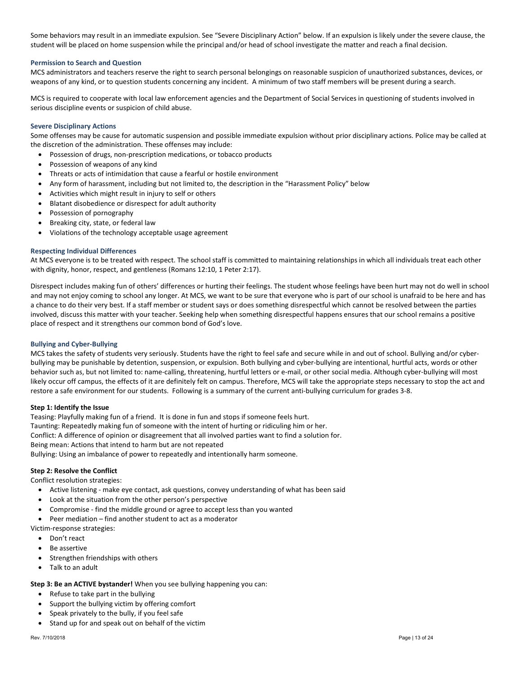Some behaviors may result in an immediate expulsion. See "Severe Disciplinary Action" below. If an expulsion is likely under the severe clause, the student will be placed on home suspension while the principal and/or head of school investigate the matter and reach a final decision.

## Permission to Search and Question

MCS administrators and teachers reserve the right to search personal belongings on reasonable suspicion of unauthorized substances, devices, or weapons of any kind, or to question students concerning any incident. A minimum of two staff members will be present during a search.

MCS is required to cooperate with local law enforcement agencies and the Department of Social Services in questioning of students involved in serious discipline events or suspicion of child abuse.

## Severe Disciplinary Actions

Some offenses may be cause for automatic suspension and possible immediate expulsion without prior disciplinary actions. Police may be called at the discretion of the administration. These offenses may include:

- Possession of drugs, non-prescription medications, or tobacco products
- Possession of weapons of any kind
- Threats or acts of intimidation that cause a fearful or hostile environment
- Any form of harassment, including but not limited to, the description in the "Harassment Policy" below
- Activities which might result in injury to self or others
- Blatant disobedience or disrespect for adult authority
- Possession of pornography
- Breaking city, state, or federal law
- Violations of the technology acceptable usage agreement

#### Respecting Individual Differences

At MCS everyone is to be treated with respect. The school staff is committed to maintaining relationships in which all individuals treat each other with dignity, honor, respect, and gentleness (Romans 12:10, 1 Peter 2:17).

Disrespect includes making fun of others' differences or hurting their feelings. The student whose feelings have been hurt may not do well in school and may not enjoy coming to school any longer. At MCS, we want to be sure that everyone who is part of our school is unafraid to be here and has a chance to do their very best. If a staff member or student says or does something disrespectful which cannot be resolved between the parties involved, discuss this matter with your teacher. Seeking help when something disrespectful happens ensures that our school remains a positive place of respect and it strengthens our common bond of God's love.

#### Bullying and Cyber-Bullying

MCS takes the safety of students very seriously. Students have the right to feel safe and secure while in and out of school. Bullying and/or cyberbullying may be punishable by detention, suspension, or expulsion. Both bullying and cyber-bullying are intentional, hurtful acts, words or other behavior such as, but not limited to: name-calling, threatening, hurtful letters or e-mail, or other social media. Although cyber-bullying will most likely occur off campus, the effects of it are definitely felt on campus. Therefore, MCS will take the appropriate steps necessary to stop the act and restore a safe environment for our students. Following is a summary of the current anti-bullying curriculum for grades 3-8.

## Step 1: Identify the Issue

Teasing: Playfully making fun of a friend. It is done in fun and stops if someone feels hurt. Taunting: Repeatedly making fun of someone with the intent of hurting or ridiculing him or her. Conflict: A difference of opinion or disagreement that all involved parties want to find a solution for. Being mean: Actions that intend to harm but are not repeated Bullying: Using an imbalance of power to repeatedly and intentionally harm someone.

## Step 2: Resolve the Conflict

Conflict resolution strategies:

- Active listening make eye contact, ask questions, convey understanding of what has been said
- Look at the situation from the other person's perspective
- Compromise find the middle ground or agree to accept less than you wanted

Peer mediation – find another student to act as a moderator

Victim-response strategies:

- Don't react
- Be assertive
- Strengthen friendships with others
- Talk to an adult

## Step 3: Be an ACTIVE bystander! When you see bullying happening you can:

- Refuse to take part in the bullying
- Support the bullying victim by offering comfort
- Speak privately to the bully, if you feel safe
- Stand up for and speak out on behalf of the victim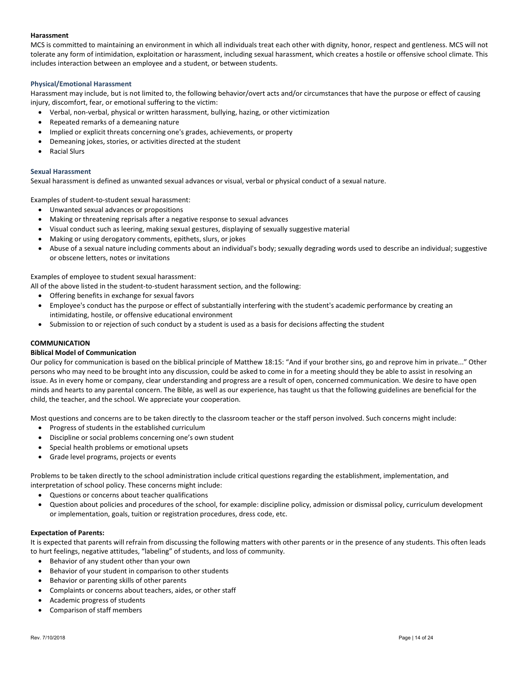## Harassment

MCS is committed to maintaining an environment in which all individuals treat each other with dignity, honor, respect and gentleness. MCS will not tolerate any form of intimidation, exploitation or harassment, including sexual harassment, which creates a hostile or offensive school climate. This includes interaction between an employee and a student, or between students.

## Physical/Emotional Harassment

Harassment may include, but is not limited to, the following behavior/overt acts and/or circumstances that have the purpose or effect of causing injury, discomfort, fear, or emotional suffering to the victim:

- Verbal, non-verbal, physical or written harassment, bullying, hazing, or other victimization
- Repeated remarks of a demeaning nature
- Implied or explicit threats concerning one's grades, achievements, or property
- Demeaning jokes, stories, or activities directed at the student
- Racial Slurs

#### Sexual Harassment

Sexual harassment is defined as unwanted sexual advances or visual, verbal or physical conduct of a sexual nature.

Examples of student-to-student sexual harassment:

- Unwanted sexual advances or propositions
- Making or threatening reprisals after a negative response to sexual advances
- Visual conduct such as leering, making sexual gestures, displaying of sexually suggestive material
- Making or using derogatory comments, epithets, slurs, or jokes
- Abuse of a sexual nature including comments about an individual's body; sexually degrading words used to describe an individual; suggestive or obscene letters, notes or invitations

#### Examples of employee to student sexual harassment:

All of the above listed in the student-to-student harassment section, and the following:

- Offering benefits in exchange for sexual favors
- Employee's conduct has the purpose or effect of substantially interfering with the student's academic performance by creating an intimidating, hostile, or offensive educational environment
- Submission to or rejection of such conduct by a student is used as a basis for decisions affecting the student

## COMMUNICATION

## Biblical Model of Communication

Our policy for communication is based on the biblical principle of Matthew 18:15: "And if your brother sins, go and reprove him in private..." Other persons who may need to be brought into any discussion, could be asked to come in for a meeting should they be able to assist in resolving an issue. As in every home or company, clear understanding and progress are a result of open, concerned communication. We desire to have open minds and hearts to any parental concern. The Bible, as well as our experience, has taught us that the following guidelines are beneficial for the child, the teacher, and the school. We appreciate your cooperation.

Most questions and concerns are to be taken directly to the classroom teacher or the staff person involved. Such concerns might include:

- Progress of students in the established curriculum
- Discipline or social problems concerning one's own student
- Special health problems or emotional upsets
- Grade level programs, projects or events

Problems to be taken directly to the school administration include critical questions regarding the establishment, implementation, and interpretation of school policy. These concerns might include:

- Questions or concerns about teacher qualifications
- Question about policies and procedures of the school, for example: discipline policy, admission or dismissal policy, curriculum development or implementation, goals, tuition or registration procedures, dress code, etc.

#### Expectation of Parents:

It is expected that parents will refrain from discussing the following matters with other parents or in the presence of any students. This often leads to hurt feelings, negative attitudes, "labeling" of students, and loss of community.

- Behavior of any student other than your own
- Behavior of your student in comparison to other students
- Behavior or parenting skills of other parents
- Complaints or concerns about teachers, aides, or other staff
- Academic progress of students
- Comparison of staff members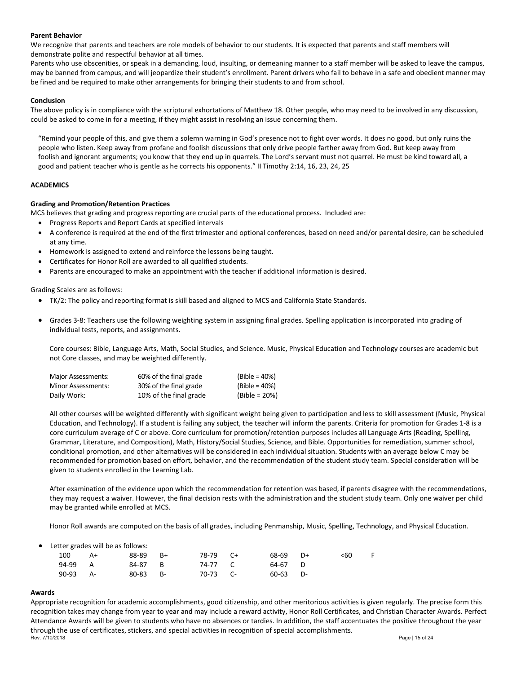## Parent Behavior

We recognize that parents and teachers are role models of behavior to our students. It is expected that parents and staff members will demonstrate polite and respectful behavior at all times.

Parents who use obscenities, or speak in a demanding, loud, insulting, or demeaning manner to a staff member will be asked to leave the campus, may be banned from campus, and will jeopardize their student's enrollment. Parent drivers who fail to behave in a safe and obedient manner may be fined and be required to make other arrangements for bringing their students to and from school.

## Conclusion

The above policy is in compliance with the scriptural exhortations of Matthew 18. Other people, who may need to be involved in any discussion, could be asked to come in for a meeting, if they might assist in resolving an issue concerning them.

"Remind your people of this, and give them a solemn warning in God's presence not to fight over words. It does no good, but only ruins the people who listen. Keep away from profane and foolish discussions that only drive people farther away from God. But keep away from foolish and ignorant arguments; you know that they end up in quarrels. The Lord's servant must not quarrel. He must be kind toward all, a good and patient teacher who is gentle as he corrects his opponents." II Timothy 2:14, 16, 23, 24, 25

## ACADEMICS

## Grading and Promotion/Retention Practices

MCS believes that grading and progress reporting are crucial parts of the educational process. Included are:

- Progress Reports and Report Cards at specified intervals
- A conference is required at the end of the first trimester and optional conferences, based on need and/or parental desire, can be scheduled at any time.
- Homework is assigned to extend and reinforce the lessons being taught.
- Certificates for Honor Roll are awarded to all qualified students.
- Parents are encouraged to make an appointment with the teacher if additional information is desired.

Grading Scales are as follows:

- TK/2: The policy and reporting format is skill based and aligned to MCS and California State Standards.
- Grades 3-8: Teachers use the following weighting system in assigning final grades. Spelling application is incorporated into grading of individual tests, reports, and assignments.

Core courses: Bible, Language Arts, Math, Social Studies, and Science. Music, Physical Education and Technology courses are academic but not Core classes, and may be weighted differently.

| Major Assessments: | 60% of the final grade | $(Bible = 40%)$  |
|--------------------|------------------------|------------------|
| Minor Assessments: | 30% of the final grade | $(Bible = 40\%)$ |
| Daily Work:        | 10% of the final grade | $(Bible = 20%)$  |

All other courses will be weighted differently with significant weight being given to participation and less to skill assessment (Music, Physical Education, and Technology). If a student is failing any subject, the teacher will inform the parents. Criteria for promotion for Grades 1-8 is a core curriculum average of C or above. Core curriculum for promotion/retention purposes includes all Language Arts (Reading, Spelling, Grammar, Literature, and Composition), Math, History/Social Studies, Science, and Bible. Opportunities for remediation, summer school, conditional promotion, and other alternatives will be considered in each individual situation. Students with an average below C may be recommended for promotion based on effort, behavior, and the recommendation of the student study team. Special consideration will be given to students enrolled in the Learning Lab.

After examination of the evidence upon which the recommendation for retention was based, if parents disagree with the recommendations, they may request a waiver. However, the final decision rests with the administration and the student study team. Only one waiver per child may be granted while enrolled at MCS.

Honor Roll awards are computed on the basis of all grades, including Penmanship, Music, Spelling, Technology, and Physical Education.

|  |  |  |  |  | Letter grades will be as follows: |
|--|--|--|--|--|-----------------------------------|
|--|--|--|--|--|-----------------------------------|

| 100      | A+ | 88-89    | $B+$ | 78-79 C+ | 68-69 D+   | <60 |  |
|----------|----|----------|------|----------|------------|-----|--|
| 94-99 A  |    | 84-87 B  |      | 74-77 C  | 64-67 D    |     |  |
| 90-93 A- |    | 80-83 B- |      | 70-73 C- | $60-63$ D- |     |  |
|          |    |          |      |          |            |     |  |

## Awards

Rev. 7/10/2018 Page | 15 of 24 Appropriate recognition for academic accomplishments, good citizenship, and other meritorious activities is given regularly. The precise form this recognition takes may change from year to year and may include a reward activity, Honor Roll Certificates, and Christian Character Awards. Perfect Attendance Awards will be given to students who have no absences or tardies. In addition, the staff accentuates the positive throughout the year through the use of certificates, stickers, and special activities in recognition of special accomplishments.<br>Rev. 7/10/2018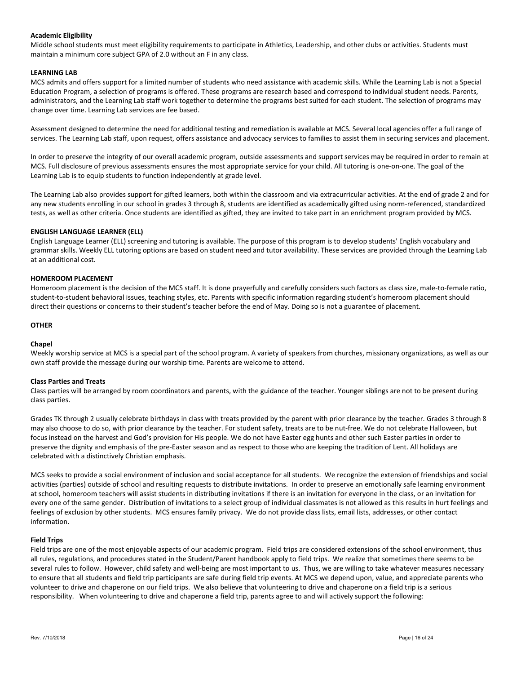## Academic Eligibility

Middle school students must meet eligibility requirements to participate in Athletics, Leadership, and other clubs or activities. Students must maintain a minimum core subject GPA of 2.0 without an F in any class.

#### LEARNING LAB

MCS admits and offers support for a limited number of students who need assistance with academic skills. While the Learning Lab is not a Special Education Program, a selection of programs is offered. These programs are research based and correspond to individual student needs. Parents, administrators, and the Learning Lab staff work together to determine the programs best suited for each student. The selection of programs may change over time. Learning Lab services are fee based.

Assessment designed to determine the need for additional testing and remediation is available at MCS. Several local agencies offer a full range of services. The Learning Lab staff, upon request, offers assistance and advocacy services to families to assist them in securing services and placement.

In order to preserve the integrity of our overall academic program, outside assessments and support services may be required in order to remain at MCS. Full disclosure of previous assessments ensures the most appropriate service for your child. All tutoring is one-on-one. The goal of the Learning Lab is to equip students to function independently at grade level.

The Learning Lab also provides support for gifted learners, both within the classroom and via extracurricular activities. At the end of grade 2 and for any new students enrolling in our school in grades 3 through 8, students are identified as academically gifted using norm-referenced, standardized tests, as well as other criteria. Once students are identified as gifted, they are invited to take part in an enrichment program provided by MCS.

## ENGLISH LANGUAGE LEARNER (ELL)

English Language Learner (ELL) screening and tutoring is available. The purpose of this program is to develop students' English vocabulary and grammar skills. Weekly ELL tutoring options are based on student need and tutor availability. These services are provided through the Learning Lab at an additional cost.

## HOMEROOM PLACEMENT

Homeroom placement is the decision of the MCS staff. It is done prayerfully and carefully considers such factors as class size, male-to-female ratio, student-to-student behavioral issues, teaching styles, etc. Parents with specific information regarding student's homeroom placement should direct their questions or concerns to their student's teacher before the end of May. Doing so is not a guarantee of placement.

#### OTHER

## **Chapel**

Weekly worship service at MCS is a special part of the school program. A variety of speakers from churches, missionary organizations, as well as our own staff provide the message during our worship time. Parents are welcome to attend.

## Class Parties and Treats

Class parties will be arranged by room coordinators and parents, with the guidance of the teacher. Younger siblings are not to be present during class parties.

Grades TK through 2 usually celebrate birthdays in class with treats provided by the parent with prior clearance by the teacher. Grades 3 through 8 may also choose to do so, with prior clearance by the teacher. For student safety, treats are to be nut-free. We do not celebrate Halloween, but focus instead on the harvest and God's provision for His people. We do not have Easter egg hunts and other such Easter parties in order to preserve the dignity and emphasis of the pre-Easter season and as respect to those who are keeping the tradition of Lent. All holidays are celebrated with a distinctively Christian emphasis.

MCS seeks to provide a social environment of inclusion and social acceptance for all students. We recognize the extension of friendships and social activities (parties) outside of school and resulting requests to distribute invitations. In order to preserve an emotionally safe learning environment at school, homeroom teachers will assist students in distributing invitations if there is an invitation for everyone in the class, or an invitation for every one of the same gender. Distribution of invitations to a select group of individual classmates is not allowed as this results in hurt feelings and feelings of exclusion by other students. MCS ensures family privacy. We do not provide class lists, email lists, addresses, or other contact information.

#### Field Trips

Field trips are one of the most enjoyable aspects of our academic program. Field trips are considered extensions of the school environment, thus all rules, regulations, and procedures stated in the Student/Parent handbook apply to field trips. We realize that sometimes there seems to be several rules to follow. However, child safety and well-being are most important to us. Thus, we are willing to take whatever measures necessary to ensure that all students and field trip participants are safe during field trip events. At MCS we depend upon, value, and appreciate parents who volunteer to drive and chaperone on our field trips. We also believe that volunteering to drive and chaperone on a field trip is a serious responsibility. When volunteering to drive and chaperone a field trip, parents agree to and will actively support the following: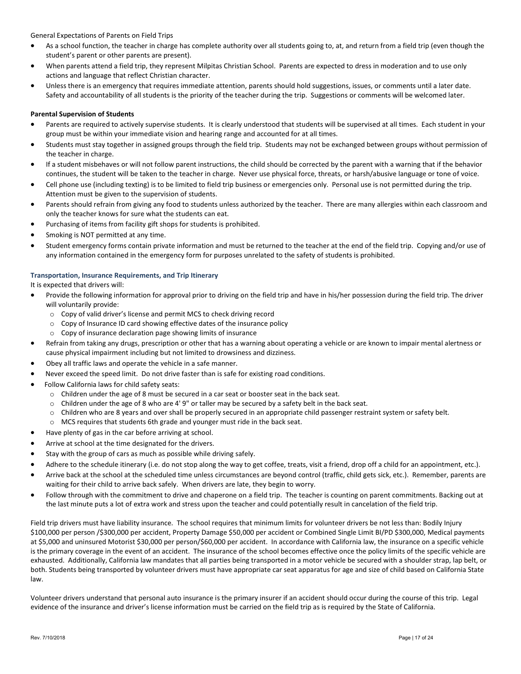General Expectations of Parents on Field Trips

- As a school function, the teacher in charge has complete authority over all students going to, at, and return from a field trip (even though the student's parent or other parents are present).
- When parents attend a field trip, they represent Milpitas Christian School. Parents are expected to dress in moderation and to use only actions and language that reflect Christian character.
- Unless there is an emergency that requires immediate attention, parents should hold suggestions, issues, or comments until a later date. Safety and accountability of all students is the priority of the teacher during the trip. Suggestions or comments will be welcomed later.

## Parental Supervision of Students

- Parents are required to actively supervise students. It is clearly understood that students will be supervised at all times. Each student in your group must be within your immediate vision and hearing range and accounted for at all times.
- Students must stay together in assigned groups through the field trip. Students may not be exchanged between groups without permission of the teacher in charge.
- If a student misbehaves or will not follow parent instructions, the child should be corrected by the parent with a warning that if the behavior continues, the student will be taken to the teacher in charge. Never use physical force, threats, or harsh/abusive language or tone of voice.
- Cell phone use (including texting) is to be limited to field trip business or emergencies only. Personal use is not permitted during the trip. Attention must be given to the supervision of students.
- Parents should refrain from giving any food to students unless authorized by the teacher. There are many allergies within each classroom and only the teacher knows for sure what the students can eat.
- Purchasing of items from facility gift shops for students is prohibited.
- Smoking is NOT permitted at any time.
- Student emergency forms contain private information and must be returned to the teacher at the end of the field trip. Copying and/or use of any information contained in the emergency form for purposes unrelated to the safety of students is prohibited.

## Transportation, Insurance Requirements, and Trip Itinerary

It is expected that drivers will:

- Provide the following information for approval prior to driving on the field trip and have in his/her possession during the field trip. The driver will voluntarily provide:
	- o Copy of valid driver's license and permit MCS to check driving record
	- o Copy of Insurance ID card showing effective dates of the insurance policy
	- o Copy of insurance declaration page showing limits of insurance
- Refrain from taking any drugs, prescription or other that has a warning about operating a vehicle or are known to impair mental alertness or cause physical impairment including but not limited to drowsiness and dizziness.
- Obey all traffic laws and operate the vehicle in a safe manner.
- Never exceed the speed limit. Do not drive faster than is safe for existing road conditions.
- Follow California laws for child safety seats:
	- o Children under the age of 8 must be secured in a car seat or booster seat in the back seat.
	- o Children under the age of 8 who are 4' 9" or taller may be secured by a safety belt in the back seat.
	- o Children who are 8 years and over shall be properly secured in an appropriate child passenger restraint system or safety belt.
	- o MCS requires that students 6th grade and younger must ride in the back seat.
- Have plenty of gas in the car before arriving at school.
- Arrive at school at the time designated for the drivers.
- Stay with the group of cars as much as possible while driving safely.
- Adhere to the schedule itinerary (i.e. do not stop along the way to get coffee, treats, visit a friend, drop off a child for an appointment, etc.).
- Arrive back at the school at the scheduled time unless circumstances are beyond control (traffic, child gets sick, etc.). Remember, parents are waiting for their child to arrive back safely. When drivers are late, they begin to worry.
- Follow through with the commitment to drive and chaperone on a field trip. The teacher is counting on parent commitments. Backing out at the last minute puts a lot of extra work and stress upon the teacher and could potentially result in cancelation of the field trip.

Field trip drivers must have liability insurance. The school requires that minimum limits for volunteer drivers be not less than: Bodily Injury \$100,000 per person /\$300,000 per accident, Property Damage \$50,000 per accident or Combined Single Limit BI/PD \$300,000, Medical payments at \$5,000 and uninsured Motorist \$30,000 per person/\$60,000 per accident. In accordance with California law, the insurance on a specific vehicle is the primary coverage in the event of an accident. The insurance of the school becomes effective once the policy limits of the specific vehicle are exhausted. Additionally, California law mandates that all parties being transported in a motor vehicle be secured with a shoulder strap, lap belt, or both. Students being transported by volunteer drivers must have appropriate car seat apparatus for age and size of child based on California State law.

Volunteer drivers understand that personal auto insurance is the primary insurer if an accident should occur during the course of this trip. Legal evidence of the insurance and driver's license information must be carried on the field trip as is required by the State of California.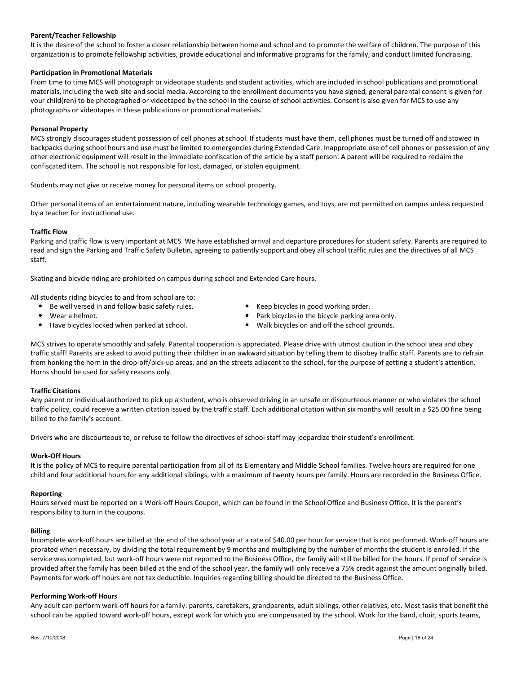## Parent/Teacher Fellowship

It is the desire of the school to foster a closer relationship between home and school and to promote the welfare of children. The purpose of this organization is to promote fellowship activities, provide educational and informative programs for the family, and conduct limited fundraising.

## Participation in Promotional Materials

From time to time MCS will photograph or videotape students and student activities, which are included in school publications and promotional materials, including the web-site and social media. According to the enrollment documents you have signed, general parental consent is given for your child(ren) to be photographed or videotaped by the school in the course of school activities. Consent is also given for MCS to use any photographs or videotapes in these publications or promotional materials.

#### Personal Property

MCS strongly discourages student possession of cell phones at school. If students must have them, cell phones must be turned off and stowed in backpacks during school hours and use must be limited to emergencies during Extended Care. Inappropriate use of cell phones or possession of any other electronic equipment will result in the immediate confiscation of the article by a staff person. A parent will be required to reclaim the confiscated item. The school is not responsible for lost, damaged, or stolen equipment.

Students may not give or receive money for personal items on school property.

Other personal items of an entertainment nature, including wearable technology games, and toys, are not permitted on campus unless requested by a teacher for instructional use.

#### Traffic Flow

Parking and traffic flow is very important at MCS. We have established arrival and departure procedures for student safety. Parents are required to read and sign the Parking and Traffic Safety Bulletin, agreeing to patiently support and obey all school traffic rules and the directives of all MCS staff.

Skating and bicycle riding are prohibited on campus during school and Extended Care hours.

All students riding bicycles to and from school are to:

- Be well versed in and follow basic safety rules. Neep bicycles in good working order.
- 
- Have bicycles locked when parked at school. Walk bicycles on and off the school grounds.
- Wear a helmet.  $\bullet$  Park bicycles in the bicycle parking area only.
	-

MCS strives to operate smoothly and safely. Parental cooperation is appreciated. Please drive with utmost caution in the school area and obey traffic staff! Parents are asked to avoid putting their children in an awkward situation by telling them to disobey traffic staff. Parents are to refrain from honking the horn in the drop-off/pick-up areas, and on the streets adjacent to the school, for the purpose of getting a student's attention. Horns should be used for safety reasons only.

## Traffic Citations

Any parent or individual authorized to pick up a student, who is observed driving in an unsafe or discourteous manner or who violates the school traffic policy, could receive a written citation issued by the traffic staff. Each additional citation within six months will result in a \$25.00 fine being billed to the family's account.

Drivers who are discourteous to, or refuse to follow the directives of school staff may jeopardize their student's enrollment.

#### Work-Off Hours

It is the policy of MCS to require parental participation from all of its Elementary and Middle School families. Twelve hours are required for one child and four additional hours for any additional siblings, with a maximum of twenty hours per family. Hours are recorded in the Business Office.

#### Reporting

Hours served must be reported on a Work-off Hours Coupon, which can be found in the School Office and Business Office. It is the parent's responsibility to turn in the coupons.

#### Billing

Incomplete work-off hours are billed at the end of the school year at a rate of \$40.00 per hour for service that is not performed. Work-off hours are prorated when necessary, by dividing the total requirement by 9 months and multiplying by the number of months the student is enrolled. If the service was completed, but work-off hours were not reported to the Business Office, the family will still be billed for the hours. If proof of service is provided after the family has been billed at the end of the school year, the family will only receive a 75% credit against the amount originally billed. Payments for work-off hours are not tax deductible. Inquiries regarding billing should be directed to the Business Office.

#### Performing Work-off Hours

Any adult can perform work-off hours for a family: parents, caretakers, grandparents, adult siblings, other relatives, etc. Most tasks that benefit the school can be applied toward work-off hours, except work for which you are compensated by the school. Work for the band, choir, sports teams,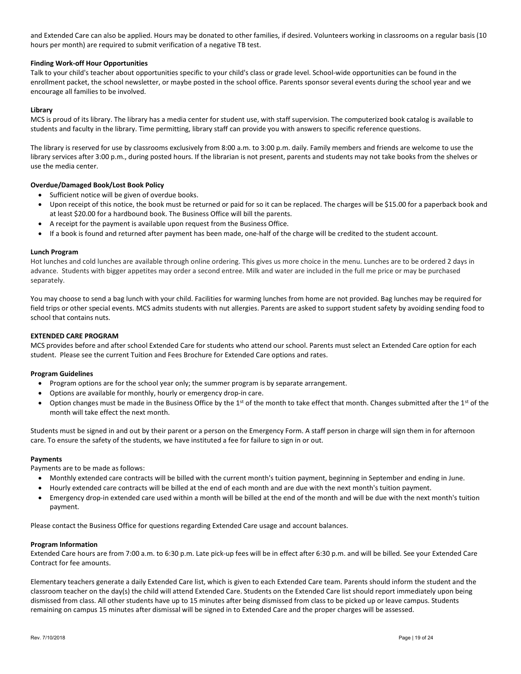and Extended Care can also be applied. Hours may be donated to other families, if desired. Volunteers working in classrooms on a regular basis (10 hours per month) are required to submit verification of a negative TB test.

## Finding Work-off Hour Opportunities

Talk to your child's teacher about opportunities specific to your child's class or grade level. School-wide opportunities can be found in the enrollment packet, the school newsletter, or maybe posted in the school office. Parents sponsor several events during the school year and we encourage all families to be involved.

## Library

MCS is proud of its library. The library has a media center for student use, with staff supervision. The computerized book catalog is available to students and faculty in the library. Time permitting, library staff can provide you with answers to specific reference questions.

The library is reserved for use by classrooms exclusively from 8:00 a.m. to 3:00 p.m. daily. Family members and friends are welcome to use the library services after 3:00 p.m., during posted hours. If the librarian is not present, parents and students may not take books from the shelves or use the media center.

## Overdue/Damaged Book/Lost Book Policy

- Sufficient notice will be given of overdue books.
- Upon receipt of this notice, the book must be returned or paid for so it can be replaced. The charges will be \$15.00 for a paperback book and at least \$20.00 for a hardbound book. The Business Office will bill the parents.
- A receipt for the payment is available upon request from the Business Office.
- If a book is found and returned after payment has been made, one-half of the charge will be credited to the student account.

#### Lunch Program

Hot lunches and cold lunches are available through online ordering. This gives us more choice in the menu. Lunches are to be ordered 2 days in advance. Students with bigger appetites may order a second entree. Milk and water are included in the full me price or may be purchased separately.

You may choose to send a bag lunch with your child. Facilities for warming lunches from home are not provided. Bag lunches may be required for field trips or other special events. MCS admits students with nut allergies. Parents are asked to support student safety by avoiding sending food to school that contains nuts.

#### EXTENDED CARE PROGRAM

MCS provides before and after school Extended Care for students who attend our school. Parents must select an Extended Care option for each student. Please see the current Tuition and Fees Brochure for Extended Care options and rates.

## Program Guidelines

- Program options are for the school year only; the summer program is by separate arrangement.
- Options are available for monthly, hourly or emergency drop-in care.
- Option changes must be made in the Business Office by the 1<sup>st</sup> of the month to take effect that month. Changes submitted after the 1<sup>st</sup> of the month will take effect the next month.

Students must be signed in and out by their parent or a person on the Emergency Form. A staff person in charge will sign them in for afternoon care. To ensure the safety of the students, we have instituted a fee for failure to sign in or out.

#### Payments

Payments are to be made as follows:

- Monthly extended care contracts will be billed with the current month's tuition payment, beginning in September and ending in June.
- Hourly extended care contracts will be billed at the end of each month and are due with the next month's tuition payment.
- Emergency drop-in extended care used within a month will be billed at the end of the month and will be due with the next month's tuition payment.

Please contact the Business Office for questions regarding Extended Care usage and account balances.

#### Program Information

Extended Care hours are from 7:00 a.m. to 6:30 p.m. Late pick-up fees will be in effect after 6:30 p.m. and will be billed. See your Extended Care Contract for fee amounts.

Elementary teachers generate a daily Extended Care list, which is given to each Extended Care team. Parents should inform the student and the classroom teacher on the day(s) the child will attend Extended Care. Students on the Extended Care list should report immediately upon being dismissed from class. All other students have up to 15 minutes after being dismissed from class to be picked up or leave campus. Students remaining on campus 15 minutes after dismissal will be signed in to Extended Care and the proper charges will be assessed.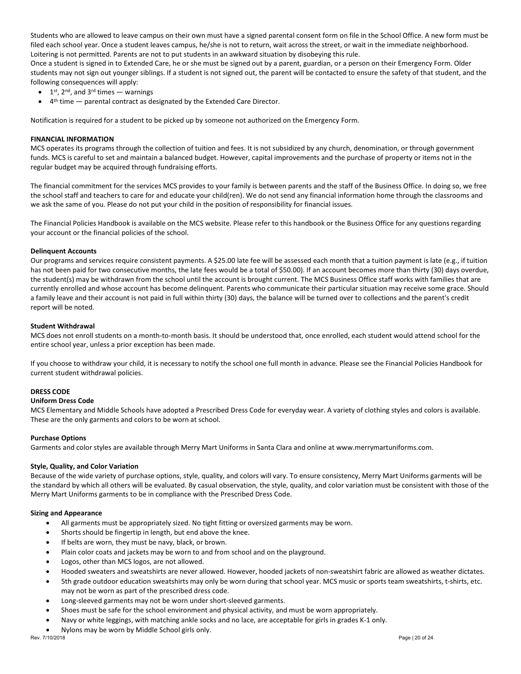Students who are allowed to leave campus on their own must have a signed parental consent form on file in the School Office. A new form must be filed each school year. Once a student leaves campus, he/she is not to return, wait across the street, or wait in the immediate neighborhood. Loitering is not permitted. Parents are not to put students in an awkward situation by disobeying this rule.

Once a student is signed in to Extended Care, he or she must be signed out by a parent, guardian, or a person on their Emergency Form. Older students may not sign out younger siblings. If a student is not signed out, the parent will be contacted to ensure the safety of that student, and the following consequences will apply:

- $\bullet$  1<sup>st</sup>, 2<sup>nd</sup>, and 3<sup>rd</sup> times warnings
- $\bullet$  4<sup>th</sup> time  $-$  parental contract as designated by the Extended Care Director.

Notification is required for a student to be picked up by someone not authorized on the Emergency Form.

## FINANCIAL INFORMATION

MCS operates its programs through the collection of tuition and fees. It is not subsidized by any church, denomination, or through government funds. MCS is careful to set and maintain a balanced budget. However, capital improvements and the purchase of property or items not in the regular budget may be acquired through fundraising efforts.

The financial commitment for the services MCS provides to your family is between parents and the staff of the Business Office. In doing so, we free the school staff and teachers to care for and educate your child(ren). We do not send any financial information home through the classrooms and we ask the same of you. Please do not put your child in the position of responsibility for financial issues.

The Financial Policies Handbook is available on the MCS website. Please refer to this handbook or the Business Office for any questions regarding your account or the financial policies of the school.

#### Delinquent Accounts

Our programs and services require consistent payments. A \$25.00 late fee will be assessed each month that a tuition payment is late (e.g., if tuition has not been paid for two consecutive months, the late fees would be a total of \$50.00). If an account becomes more than thirty (30) days overdue, the student(s) may be withdrawn from the school until the account is brought current. The MCS Business Office staff works with families that are currently enrolled and whose account has become delinquent. Parents who communicate their particular situation may receive some grace. Should a family leave and their account is not paid in full within thirty (30) days, the balance will be turned over to collections and the parent's credit report will be noted.

#### Student Withdrawal

MCS does not enroll students on a month-to-month basis. It should be understood that, once enrolled, each student would attend school for the entire school year, unless a prior exception has been made.

If you choose to withdraw your child, it is necessary to notify the school one full month in advance. Please see the Financial Policies Handbook for current student withdrawal policies.

#### DRESS CODE

#### Uniform Dress Code

MCS Elementary and Middle Schools have adopted a Prescribed Dress Code for everyday wear. A variety of clothing styles and colors is available. These are the only garments and colors to be worn at school.

#### Purchase Options

Garments and color styles are available through Merry Mart Uniforms in Santa Clara and online at www.merrymartuniforms.com.

#### Style, Quality, and Color Variation

Because of the wide variety of purchase options, style, quality, and colors will vary. To ensure consistency, Merry Mart Uniforms garments will be the standard by which all others will be evaluated. By casual observation, the style, quality, and color variation must be consistent with those of the Merry Mart Uniforms garments to be in compliance with the Prescribed Dress Code.

#### Sizing and Appearance

- All garments must be appropriately sized. No tight fitting or oversized garments may be worn.
- Shorts should be fingertip in length, but end above the knee.
- If belts are worn, they must be navy, black, or brown.
- Plain color coats and jackets may be worn to and from school and on the playground.
- Logos, other than MCS logos, are not allowed.
- Hooded sweaters and sweatshirts are never allowed. However, hooded jackets of non-sweatshirt fabric are allowed as weather dictates.
- 5th grade outdoor education sweatshirts may only be worn during that school year. MCS music or sports team sweatshirts, t-shirts, etc. may not be worn as part of the prescribed dress code.
- Long-sleeved garments may not be worn under short-sleeved garments.
- Shoes must be safe for the school environment and physical activity, and must be worn appropriately.
- Navy or white leggings, with matching ankle socks and no lace, are acceptable for girls in grades K-1 only.
- Nylons may be worn by Middle School girls only.<br>Rev.  $7/10/2018$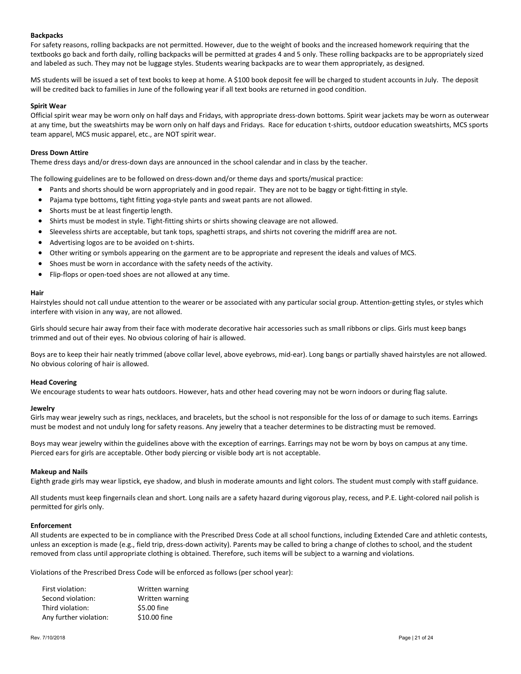## Backpacks

For safety reasons, rolling backpacks are not permitted. However, due to the weight of books and the increased homework requiring that the textbooks go back and forth daily, rolling backpacks will be permitted at grades 4 and 5 only. These rolling backpacks are to be appropriately sized and labeled as such. They may not be luggage styles. Students wearing backpacks are to wear them appropriately, as designed.

MS students will be issued a set of text books to keep at home. A \$100 book deposit fee will be charged to student accounts in July. The deposit will be credited back to families in June of the following year if all text books are returned in good condition.

## Spirit Wear

Official spirit wear may be worn only on half days and Fridays, with appropriate dress-down bottoms. Spirit wear jackets may be worn as outerwear at any time, but the sweatshirts may be worn only on half days and Fridays. Race for education t-shirts, outdoor education sweatshirts, MCS sports team apparel, MCS music apparel, etc., are NOT spirit wear.

## Dress Down Attire

Theme dress days and/or dress-down days are announced in the school calendar and in class by the teacher.

The following guidelines are to be followed on dress-down and/or theme days and sports/musical practice:

- Pants and shorts should be worn appropriately and in good repair. They are not to be baggy or tight-fitting in style.
- Pajama type bottoms, tight fitting yoga-style pants and sweat pants are not allowed.
- Shorts must be at least fingertip length.
- Shirts must be modest in style. Tight-fitting shirts or shirts showing cleavage are not allowed.
- Sleeveless shirts are acceptable, but tank tops, spaghetti straps, and shirts not covering the midriff area are not.
- Advertising logos are to be avoided on t-shirts.
- Other writing or symbols appearing on the garment are to be appropriate and represent the ideals and values of MCS.
- Shoes must be worn in accordance with the safety needs of the activity.
- Flip-flops or open-toed shoes are not allowed at any time.

## Hair

Hairstyles should not call undue attention to the wearer or be associated with any particular social group. Attention-getting styles, or styles which interfere with vision in any way, are not allowed.

Girls should secure hair away from their face with moderate decorative hair accessories such as small ribbons or clips. Girls must keep bangs trimmed and out of their eyes. No obvious coloring of hair is allowed.

Boys are to keep their hair neatly trimmed (above collar level, above eyebrows, mid-ear). Long bangs or partially shaved hairstyles are not allowed. No obvious coloring of hair is allowed.

## Head Covering

We encourage students to wear hats outdoors. However, hats and other head covering may not be worn indoors or during flag salute.

## Jewelry

Girls may wear jewelry such as rings, necklaces, and bracelets, but the school is not responsible for the loss of or damage to such items. Earrings must be modest and not unduly long for safety reasons. Any jewelry that a teacher determines to be distracting must be removed.

Boys may wear jewelry within the guidelines above with the exception of earrings. Earrings may not be worn by boys on campus at any time. Pierced ears for girls are acceptable. Other body piercing or visible body art is not acceptable.

#### Makeup and Nails

Eighth grade girls may wear lipstick, eye shadow, and blush in moderate amounts and light colors. The student must comply with staff guidance.

All students must keep fingernails clean and short. Long nails are a safety hazard during vigorous play, recess, and P.E. Light-colored nail polish is permitted for girls only.

## Enforcement

All students are expected to be in compliance with the Prescribed Dress Code at all school functions, including Extended Care and athletic contests, unless an exception is made (e.g., field trip, dress-down activity). Parents may be called to bring a change of clothes to school, and the student removed from class until appropriate clothing is obtained. Therefore, such items will be subject to a warning and violations.

Violations of the Prescribed Dress Code will be enforced as follows (per school year):

| Written warning |
|-----------------|
| Written warning |
| \$5.00 fine     |
| \$10.00 fine    |
|                 |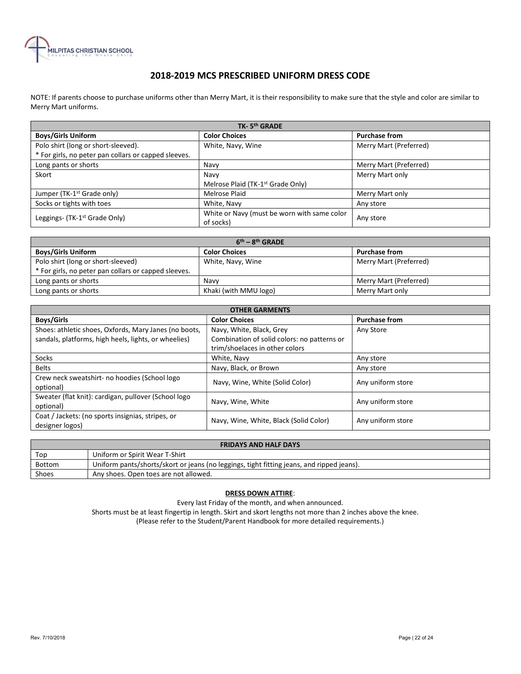

## 2018-2019 MCS PRESCRIBED UNIFORM DRESS CODE

NOTE: If parents choose to purchase uniforms other than Merry Mart, it is their responsibility to make sure that the style and color are similar to Merry Mart uniforms.

| TK-5 <sup>th</sup> GRADE                             |                                               |                        |  |  |
|------------------------------------------------------|-----------------------------------------------|------------------------|--|--|
| <b>Boys/Girls Uniform</b>                            | <b>Color Choices</b>                          | <b>Purchase from</b>   |  |  |
| Polo shirt (long or short-sleeved).                  | White, Navy, Wine                             | Merry Mart (Preferred) |  |  |
| * For girls, no peter pan collars or capped sleeves. |                                               |                        |  |  |
| Long pants or shorts                                 | Navy                                          | Merry Mart (Preferred) |  |  |
| Skort                                                | Navy                                          | Merry Mart only        |  |  |
|                                                      | Melrose Plaid (TK-1 <sup>st</sup> Grade Only) |                        |  |  |
| Jumper (TK-1 <sup>st</sup> Grade only)               | Melrose Plaid                                 | Merry Mart only        |  |  |
| Socks or tights with toes                            | White, Navy                                   | Any store              |  |  |
|                                                      | White or Navy (must be worn with same color   |                        |  |  |
| Leggings- (TK-1 <sup>st</sup> Grade Only)            | of socks)                                     | Any store              |  |  |

| $6th - 8th$ GRADE                                    |                       |                        |  |  |
|------------------------------------------------------|-----------------------|------------------------|--|--|
| <b>Boys/Girls Uniform</b>                            | <b>Color Choices</b>  | <b>Purchase from</b>   |  |  |
| Polo shirt (long or short-sleeved)                   | White, Navy, Wine     | Merry Mart (Preferred) |  |  |
| * For girls, no peter pan collars or capped sleeves. |                       |                        |  |  |
| Long pants or shorts                                 | Navy                  | Merry Mart (Preferred) |  |  |
| Long pants or shorts                                 | Khaki (with MMU logo) | Merry Mart only        |  |  |

| <b>OTHER GARMENTS</b>                                                                                         |                                                                                                           |                      |  |  |
|---------------------------------------------------------------------------------------------------------------|-----------------------------------------------------------------------------------------------------------|----------------------|--|--|
| <b>Boys/Girls</b>                                                                                             | <b>Color Choices</b>                                                                                      | <b>Purchase from</b> |  |  |
| Shoes: athletic shoes, Oxfords, Mary Janes (no boots,<br>sandals, platforms, high heels, lights, or wheelies) | Navy, White, Black, Grey<br>Combination of solid colors: no patterns or<br>trim/shoelaces in other colors | Any Store            |  |  |
| Socks                                                                                                         | White, Navy                                                                                               | Any store            |  |  |
| <b>Belts</b>                                                                                                  | Navy, Black, or Brown                                                                                     | Any store            |  |  |
| Crew neck sweatshirt- no hoodies (School logo<br>optional)                                                    | Navy, Wine, White (Solid Color)                                                                           | Any uniform store    |  |  |
| Sweater (flat knit): cardigan, pullover (School logo<br>optional)                                             | Navy, Wine, White                                                                                         | Any uniform store    |  |  |
| Coat / Jackets: (no sports insignias, stripes, or<br>designer logos)                                          | Navy, Wine, White, Black (Solid Color)                                                                    | Any uniform store    |  |  |

| <b>FRIDAYS AND HALF DAYS</b> |                                                                                           |  |  |
|------------------------------|-------------------------------------------------------------------------------------------|--|--|
| Top                          | Uniform or Spirit Wear T-Shirt                                                            |  |  |
| Bottom                       | Uniform pants/shorts/skort or jeans (no leggings, tight fitting jeans, and ripped jeans). |  |  |
| Shoes                        | Any shoes. Open toes are not allowed.                                                     |  |  |

## DRESS DOWN ATTIRE:

Every last Friday of the month, and when announced.

Shorts must be at least fingertip in length. Skirt and skort lengths not more than 2 inches above the knee. (Please refer to the Student/Parent Handbook for more detailed requirements.)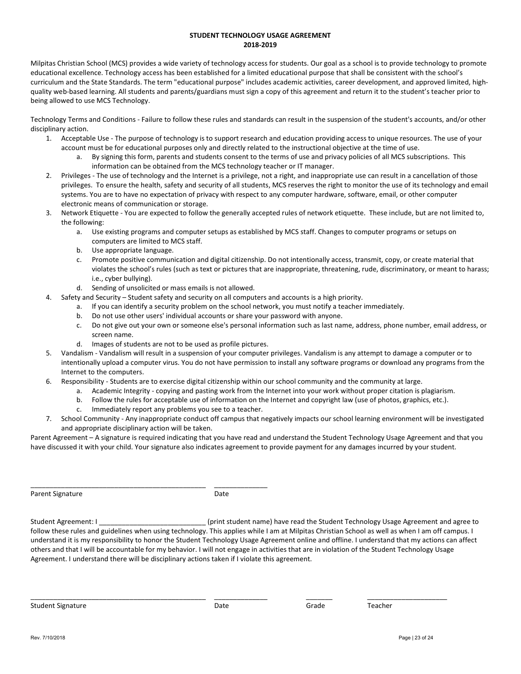## STUDENT TECHNOLOGY USAGE AGREEMENT 2018-2019

Milpitas Christian School (MCS) provides a wide variety of technology access for students. Our goal as a school is to provide technology to promote educational excellence. Technology access has been established for a limited educational purpose that shall be consistent with the school's curriculum and the State Standards. The term "educational purpose" includes academic activities, career development, and approved limited, highquality web-based learning. All students and parents/guardians must sign a copy of this agreement and return it to the student's teacher prior to being allowed to use MCS Technology.

Technology Terms and Conditions - Failure to follow these rules and standards can result in the suspension of the student's accounts, and/or other disciplinary action.

- 1. Acceptable Use The purpose of technology is to support research and education providing access to unique resources. The use of your account must be for educational purposes only and directly related to the instructional objective at the time of use.
	- By signing this form, parents and students consent to the terms of use and privacy policies of all MCS subscriptions. This information can be obtained from the MCS technology teacher or IT manager.
- 2. Privileges The use of technology and the Internet is a privilege, not a right, and inappropriate use can result in a cancellation of those privileges. To ensure the health, safety and security of all students, MCS reserves the right to monitor the use of its technology and email systems. You are to have no expectation of privacy with respect to any computer hardware, software, email, or other computer electronic means of communication or storage.
- 3. Network Etiquette You are expected to follow the generally accepted rules of network etiquette. These include, but are not limited to, the following:
	- a. Use existing programs and computer setups as established by MCS staff. Changes to computer programs or setups on computers are limited to MCS staff.
	- b. Use appropriate language.
	- c. Promote positive communication and digital citizenship. Do not intentionally access, transmit, copy, or create material that violates the school's rules (such as text or pictures that are inappropriate, threatening, rude, discriminatory, or meant to harass; i.e., cyber bullying).
	- d. Sending of unsolicited or mass emails is not allowed.
- 4. Safety and Security Student safety and security on all computers and accounts is a high priority.
	- a. If you can identify a security problem on the school network, you must notify a teacher immediately.
	- b. Do not use other users' individual accounts or share your password with anyone.
	- c. Do not give out your own or someone else's personal information such as last name, address, phone number, email address, or screen name.
	- d. Images of students are not to be used as profile pictures.
- 5. Vandalism Vandalism will result in a suspension of your computer privileges. Vandalism is any attempt to damage a computer or to intentionally upload a computer virus. You do not have permission to install any software programs or download any programs from the Internet to the computers.
- 6. Responsibility Students are to exercise digital citizenship within our school community and the community at large.
	- a. Academic Integrity copying and pasting work from the Internet into your work without proper citation is plagiarism.
	- b. Follow the rules for acceptable use of information on the Internet and copyright law (use of photos, graphics, etc.).
	- c. Immediately report any problems you see to a teacher.
- 7. School Community Any inappropriate conduct off campus that negatively impacts our school learning environment will be investigated and appropriate disciplinary action will be taken.

Parent Agreement – A signature is required indicating that you have read and understand the Student Technology Usage Agreement and that you have discussed it with your child. Your signature also indicates agreement to provide payment for any damages incurred by your student.

Parent Signature Date

\_\_\_\_\_\_\_\_\_\_\_\_\_\_\_\_\_\_\_\_\_\_\_\_\_\_\_\_\_\_\_\_\_\_\_\_\_\_\_\_\_\_\_\_\_\_ \_\_\_\_\_\_\_\_\_\_\_\_\_\_

Student Agreement: I **Exercise 2 and Student in Agreement** and agree to controller the Student Technology Usage Agreement and agree to follow these rules and guidelines when using technology. This applies while I am at Milpitas Christian School as well as when I am off campus. I understand it is my responsibility to honor the Student Technology Usage Agreement online and offline. I understand that my actions can affect others and that I will be accountable for my behavior. I will not engage in activities that are in violation of the Student Technology Usage Agreement. I understand there will be disciplinary actions taken if I violate this agreement.

Student Signature Teacher Controller Controller Controller Date Grade Teacher Teacher Teacher

\_\_\_\_\_\_\_\_\_\_\_\_\_\_\_\_\_\_\_\_\_\_\_\_\_\_\_\_\_\_\_\_\_\_\_\_\_\_\_\_\_\_\_\_\_\_ \_\_\_\_\_\_\_\_\_\_\_\_\_\_ \_\_\_\_\_\_\_ \_\_\_\_\_\_\_\_\_\_\_\_\_\_\_\_\_\_\_\_\_